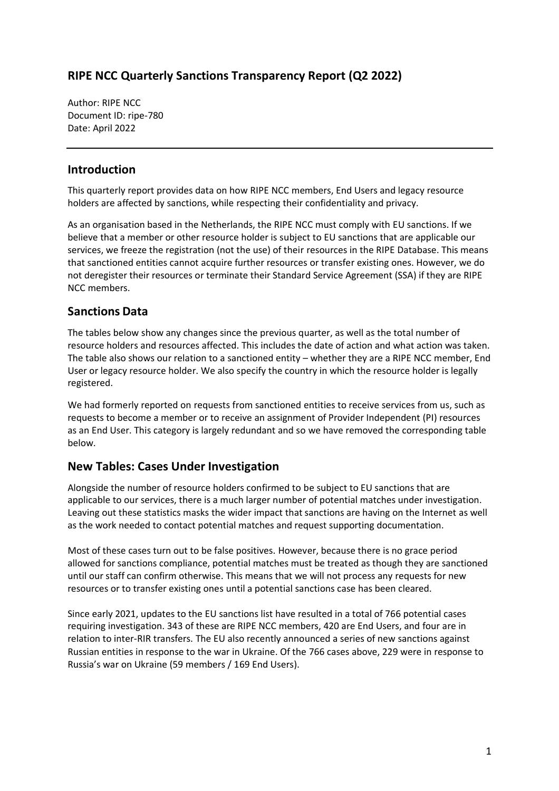# **RIPE NCC Quarterly Sanctions Transparency Report (Q2 2022)**

Author: RIPE NCC Document ID: ripe-780 Date: April 2022

### **Introduction**

This quarterly report provides data on how RIPE NCC members, End Users and legacy resource holders are affected by sanctions, while respecting their confidentiality and privacy.

As an organisation based in the Netherlands, the RIPE NCC must comply with EU sanctions. If we believe that a member or other resource holder is subject to EU sanctions that are applicable our services, we freeze the registration (not the use) of their resources in the RIPE Database. This means that sanctioned entities cannot acquire further resources or transfer existing ones. However, we do not deregister their resources or terminate their Standard Service Agreement (SSA) if they are RIPE NCC members.

## **Sanctions Data**

The tables below show any changes since the previous quarter, as well as the total number of resource holders and resources affected. This includes the date of action and what action was taken. The table also shows our relation to a sanctioned entity – whether they are a RIPE NCC member, End User or legacy resource holder. We also specify the country in which the resource holder is legally registered.

We had formerly reported on requests from sanctioned entities to receive services from us, such as requests to become a member or to receive an assignment of Provider Independent (PI) resources as an End User. This category is largely redundant and so we have removed the corresponding table below.

## **New Tables: Cases Under Investigation**

Alongside the number of resource holders confirmed to be subject to EU sanctions that are applicable to our services, there is a much larger number of potential matches under investigation. Leaving out these statistics masks the wider impact that sanctions are having on the Internet as well as the work needed to contact potential matches and request supporting documentation.

Most of these cases turn out to be false positives. However, because there is no grace period allowed for sanctions compliance, potential matches must be treated as though they are sanctioned until our staff can confirm otherwise. This means that we will not process any requests for new resources or to transfer existing ones until a potential sanctions case has been cleared.

Since early 2021, updates to the EU sanctions list have resulted in a total of 766 potential cases requiring investigation. 343 of these are RIPE NCC members, 420 are End Users, and four are in relation to inter-RIR transfers. The EU also recently announced a series of new sanctions against Russian entities in response to the war in Ukraine. Of the 766 cases above, 229 were in response to Russia's war on Ukraine (59 members / 169 End Users).